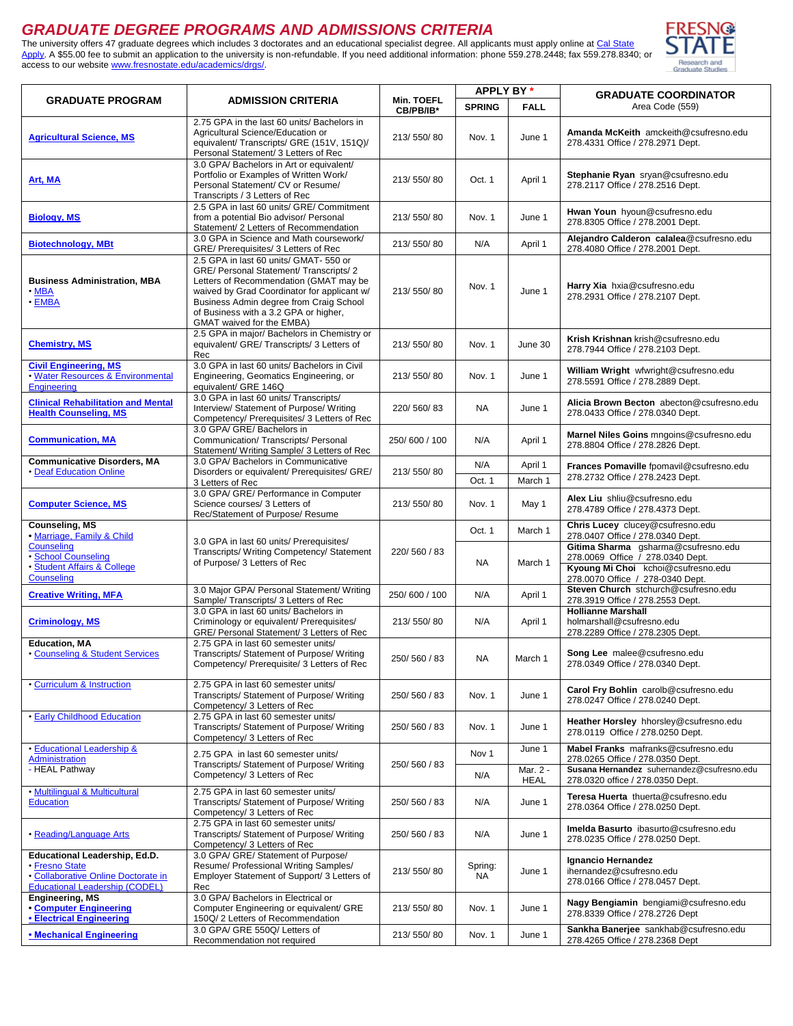## *GRADUATE DEGREE PROGRAMS AND ADMISSIONS CRITERIA*

The university offers 47 graduate degrees which includes 3 doctorates and an educational specialist degree. All applicants must apply online at Cal State [Apply.](http://www2.calstate.edu/apply) A \$55.00 fee to submit an application to the university is non-refundable. If you need additional information: phone 559.278.2448; fax 559.278.8340; or access to our website [www.fresnostate.edu/academics/drgs/.](http://www.fresnostate.edu/drgs)



|                                                                                                                                        | <b>ADMISSION CRITERIA</b>                                                                                                                                                                                                                                                                   | <b>Min. TOEFL</b><br>CB/PB/IB* | <b>APPLY BY*</b> |                         |                                                                                                                                                   |
|----------------------------------------------------------------------------------------------------------------------------------------|---------------------------------------------------------------------------------------------------------------------------------------------------------------------------------------------------------------------------------------------------------------------------------------------|--------------------------------|------------------|-------------------------|---------------------------------------------------------------------------------------------------------------------------------------------------|
| <b>GRADUATE PROGRAM</b>                                                                                                                |                                                                                                                                                                                                                                                                                             |                                | <b>SPRING</b>    | <b>FALL</b>             | <b>GRADUATE COORDINATOR</b><br>Area Code (559)                                                                                                    |
| <b>Agricultural Science, MS</b>                                                                                                        | 2.75 GPA in the last 60 units/ Bachelors in<br>Agricultural Science/Education or<br>equivalent/ Transcripts/ GRE (151V, 151Q)/<br>Personal Statement/ 3 Letters of Rec                                                                                                                      | 213/550/80                     | Nov. 1           | June 1                  | Amanda McKeith amckeith@csufresno.edu<br>278.4331 Office / 278.2971 Dept.                                                                         |
| Art, MA                                                                                                                                | 3.0 GPA/ Bachelors in Art or equivalent/<br>Portfolio or Examples of Written Work/<br>Personal Statement/ CV or Resume/<br>Transcripts / 3 Letters of Rec                                                                                                                                   | 213/550/80                     | Oct. 1           | April 1                 | Stephanie Ryan sryan@csufresno.edu<br>278.2117 Office / 278.2516 Dept.                                                                            |
| <b>Biology, MS</b>                                                                                                                     | 2.5 GPA in last 60 units/ GRE/ Commitment<br>from a potential Bio advisor/ Personal<br>Statement/ 2 Letters of Recommendation                                                                                                                                                               | 213/550/80                     | Nov. 1           | June 1                  | Hwan Youn hyoun@csufresno.edu<br>278.8305 Office / 278.2001 Dept.                                                                                 |
| <b>Biotechnology, MBt</b>                                                                                                              | 3.0 GPA in Science and Math coursework/<br>GRE/ Prerequisites/ 3 Letters of Rec                                                                                                                                                                                                             | 213/550/80                     | N/A              | April 1                 | Alejandro Calderon calalea@csufresno.edu<br>278.4080 Office / 278.2001 Dept.                                                                      |
| <b>Business Administration, MBA</b><br>$\cdot$ MBA<br>$\cdot$ EMBA                                                                     | 2.5 GPA in last 60 units/ GMAT- 550 or<br>GRE/ Personal Statement/ Transcripts/ 2<br>Letters of Recommendation (GMAT may be<br>waived by Grad Coordinator for applicant w/<br>Business Admin degree from Craig School<br>of Business with a 3.2 GPA or higher,<br>GMAT waived for the EMBA) | 213/550/80                     | Nov. 1           | June 1                  | Harry Xia hxia@csufresno.edu<br>278.2931 Office / 278.2107 Dept.                                                                                  |
| <b>Chemistry, MS</b>                                                                                                                   | 2.5 GPA in major/ Bachelors in Chemistry or<br>equivalent/ GRE/ Transcripts/ 3 Letters of<br>Rec                                                                                                                                                                                            | 213/550/80                     | Nov. 1           | June 30                 | Krish Krishnan krish@csufresno.edu<br>278.7944 Office / 278.2103 Dept.                                                                            |
| <b>Civil Engineering, MS</b><br>. Water Resources & Environmental<br><b>Engineering</b>                                                | 3.0 GPA in last 60 units/ Bachelors in Civil<br>Engineering, Geomatics Engineering, or<br>equivalent/ GRE 146Q                                                                                                                                                                              | 213/550/80                     | Nov. 1           | June 1                  | William Wright wfwright@csufresno.edu<br>278.5591 Office / 278.2889 Dept.                                                                         |
| <b>Clinical Rehabilitation and Mental</b><br><b>Health Counseling, MS</b>                                                              | 3.0 GPA in last 60 units/ Transcripts/<br>Interview/ Statement of Purpose/ Writing<br>Competency/ Prerequisites/ 3 Letters of Rec                                                                                                                                                           | 220/560/83                     | NA.              | June 1                  | Alicia Brown Becton abecton@csufresno.edu<br>278.0433 Office / 278.0340 Dept.                                                                     |
| <b>Communication, MA</b>                                                                                                               | 3.0 GPA/ GRE/ Bachelors in<br>Communication/ Transcripts/ Personal<br>Statement/ Writing Sample/ 3 Letters of Rec                                                                                                                                                                           | 250/600 / 100                  | N/A              | April 1                 | Marnel Niles Goins mngoins@csufresno.edu<br>278.8804 Office / 278.2826 Dept.                                                                      |
| <b>Communicative Disorders, MA</b><br>• Deaf Education Online                                                                          | 3.0 GPA/ Bachelors in Communicative<br>Disorders or equivalent/ Prerequisites/ GRE/                                                                                                                                                                                                         | 213/550/80                     | N/A              | April 1                 | Frances Pomaville fpomavil@csufresno.edu                                                                                                          |
|                                                                                                                                        | 3 Letters of Rec                                                                                                                                                                                                                                                                            |                                | Oct. 1           | March 1                 | 278.2732 Office / 278.2423 Dept.                                                                                                                  |
| <b>Computer Science, MS</b>                                                                                                            | 3.0 GPA/ GRE/ Performance in Computer<br>Science courses/ 3 Letters of<br>Rec/Statement of Purpose/ Resume                                                                                                                                                                                  | 213/550/80                     | Nov. 1           | May 1                   | Alex Liu shliu@csufresno.edu<br>278.4789 Office / 278.4373 Dept.                                                                                  |
| Counseling, MS<br>· Marriage, Family & Child                                                                                           |                                                                                                                                                                                                                                                                                             |                                | Oct. 1           | March 1                 | Chris Lucey clucey@csufresno.edu<br>278.0407 Office / 278.0340 Dept.                                                                              |
| Counseling<br>· School Counseling<br>· Student Affairs & College<br><b>Counseling</b>                                                  | 3.0 GPA in last 60 units/ Prerequisites/<br>Transcripts/ Writing Competency/ Statement<br>of Purpose/ 3 Letters of Rec                                                                                                                                                                      | 220/560/83                     | NA               | March 1                 | Gitima Sharma gsharma@csufresno.edu<br>278.0069 Office / 278.0340 Dept.<br>Kyoung Mi Choi kchoi@csufresno.edu<br>278.0070 Office / 278-0340 Dept. |
| <b>Creative Writing, MFA</b>                                                                                                           | 3.0 Major GPA/ Personal Statement/ Writing<br>Sample/ Transcripts/ 3 Letters of Rec                                                                                                                                                                                                         | 250/600 / 100                  | N/A              | April 1                 | Steven Church stchurch@csufresno.edu<br>278.3919 Office / 278.2553 Dept.                                                                          |
| <b>Criminology, MS</b>                                                                                                                 | 3.0 GPA in last 60 units/ Bachelors in<br>Criminology or equivalent/ Prerequisites/<br>GRE/ Personal Statement/ 3 Letters of Rec                                                                                                                                                            | 213/550/80                     | N/A              | April 1                 | <b>Hollianne Marshall</b><br>holmarshall@csufresno.edu<br>278.2289 Office / 278.2305 Dept.                                                        |
| <b>Education, MA</b><br>• Counseling & Student Services                                                                                | 2.75 GPA in last 60 semester units/<br>Transcripts/ Statement of Purpose/ Writing<br>Competency/ Prerequisite/ 3 Letters of Rec                                                                                                                                                             | 250/560/83                     | NA               | March 1                 | Song Lee malee@csufresno.edu<br>278.0349 Office / 278.0340 Dept.                                                                                  |
| • Curriculum & Instruction                                                                                                             | 2.75 GPA in last 60 semester units/<br>Transcripts/ Statement of Purpose/ Writing<br>Competency/ 3 Letters of Rec                                                                                                                                                                           | 250/560/83                     | Nov. 1           | June 1                  | Carol Fry Bohlin carolb@csufresno.edu<br>278.0247 Office / 278.0240 Dept.                                                                         |
| <b>. Early Childhood Education</b>                                                                                                     | 2.75 GPA in last 60 semester units/<br>Transcripts/ Statement of Purpose/ Writing<br>Competency/ 3 Letters of Rec                                                                                                                                                                           | 250/560/83                     | Nov. 1           | June 1                  | Heather Horsley hhorsley@csufresno.edu<br>278.0119 Office / 278.0250 Dept.                                                                        |
| <b>Educational Leadership &amp;</b><br><b>Administration</b>                                                                           | 2.75 GPA in last 60 semester units/<br>Transcripts/ Statement of Purpose/ Writing                                                                                                                                                                                                           | 250/560/83                     | Nov 1            | June 1                  | Mabel Franks mafranks@csufresno.edu<br>278.0265 Office / 278.0350 Dept.                                                                           |
| - HEAL Pathway                                                                                                                         | Competency/ 3 Letters of Rec                                                                                                                                                                                                                                                                |                                | N/A              | Mar. 2 -<br><b>HEAL</b> | Susana Hernandez suhernandez@csufresno.edu<br>278.0320 office / 278.0350 Dept.                                                                    |
| . Multilingual & Multicultural<br><b>Education</b>                                                                                     | 2.75 GPA in last 60 semester units/<br>Transcripts/ Statement of Purpose/ Writing<br>Competency/ 3 Letters of Rec                                                                                                                                                                           | 250/560/83                     | N/A              | June 1                  | Teresa Huerta thuerta@csufresno.edu<br>278.0364 Office / 278.0250 Dept.                                                                           |
| • Reading/Language Arts                                                                                                                | 2.75 GPA in last 60 semester units/<br>Transcripts/ Statement of Purpose/ Writing<br>Competency/ 3 Letters of Rec                                                                                                                                                                           | 250/560/83                     | N/A              | June 1                  | Imelda Basurto ibasurto@csufresno.edu<br>278.0235 Office / 278.0250 Dept.                                                                         |
| <b>Educational Leadership, Ed.D.</b><br>• Fresno State<br>• Collaborative Online Doctorate in<br><b>Educational Leadership (CODEL)</b> | 3.0 GPA/ GRE/ Statement of Purpose/<br>Resume/ Professional Writing Samples/<br>Employer Statement of Support/ 3 Letters of<br>Rec                                                                                                                                                          | 213/550/80                     | Spring:<br>NA.   | June 1                  | Ignancio Hernandez<br>ihernandez@csufresno.edu<br>278.0166 Office / 278.0457 Dept.                                                                |
| Engineering, MS<br>• Computer Engineering<br><b>• Electrical Engineering</b>                                                           | 3.0 GPA/ Bachelors in Electrical or<br>Computer Engineering or equivalent/ GRE<br>150Q/2 Letters of Recommendation                                                                                                                                                                          | 213/550/80                     | Nov. 1           | June 1                  | Nagy Bengiamin bengiami@csufresno.edu<br>278.8339 Office / 278.2726 Dept                                                                          |
| • Mechanical Engineering                                                                                                               | 3.0 GPA/ GRE 550Q/ Letters of<br>Recommendation not required                                                                                                                                                                                                                                | 213/550/80                     | Nov. 1           | June 1                  | Sankha Banerjee sankhab@csufresno.edu<br>278.4265 Office / 278.2368 Dept                                                                          |